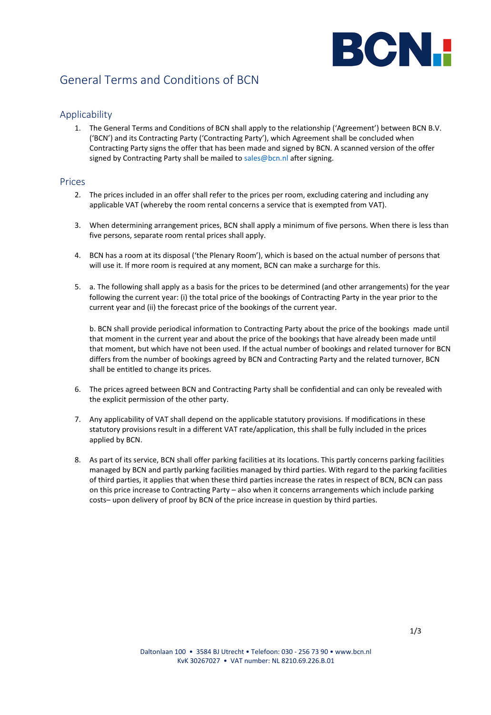

# General Terms and Conditions of BCN

#### Applicability

1. The General Terms and Conditions of BCN shall apply to the relationship ('Agreement') between BCN B.V. ('BCN') and its Contracting Party ('Contracting Party'), which Agreement shall be concluded when Contracting Party signs the offer that has been made and signed by BCN. A scanned version of the offer signed by Contracting Party shall be mailed to [sales@bcn.nl](mailto:sales@bcn.nl) after signing.

#### Prices

- 2. The prices included in an offer shall refer to the prices per room, excluding catering and including any applicable VAT (whereby the room rental concerns a service that is exempted from VAT).
- 3. When determining arrangement prices, BCN shall apply a minimum of five persons. When there is less than five persons, separate room rental prices shall apply.
- 4. BCN has a room at its disposal ('the Plenary Room'), which is based on the actual number of persons that will use it. If more room is required at any moment, BCN can make a surcharge for this.
- 5. a. The following shall apply as a basis for the prices to be determined (and other arrangements) for the year following the current year: (i) the total price of the bookings of Contracting Party in the year prior to the current year and (ii) the forecast price of the bookings of the current year.

b. BCN shall provide periodical information to Contracting Party about the price of the bookings made until that moment in the current year and about the price of the bookings that have already been made until that moment, but which have not been used. If the actual number of bookings and related turnover for BCN differs from the number of bookings agreed by BCN and Contracting Party and the related turnover, BCN shall be entitled to change its prices.

- 6. The prices agreed between BCN and Contracting Party shall be confidential and can only be revealed with the explicit permission of the other party.
- 7. Any applicability of VAT shall depend on the applicable statutory provisions. If modifications in these statutory provisions result in a different VAT rate/application, this shall be fully included in the prices applied by BCN.
- 8. As part of its service, BCN shall offer parking facilities at its locations. This partly concerns parking facilities managed by BCN and partly parking facilities managed by third parties. With regard to the parking facilities of third parties, it applies that when these third parties increase the rates in respect of BCN, BCN can pass on this price increase to Contracting Party – also when it concerns arrangements which include parking costs– upon delivery of proof by BCN of the price increase in question by third parties.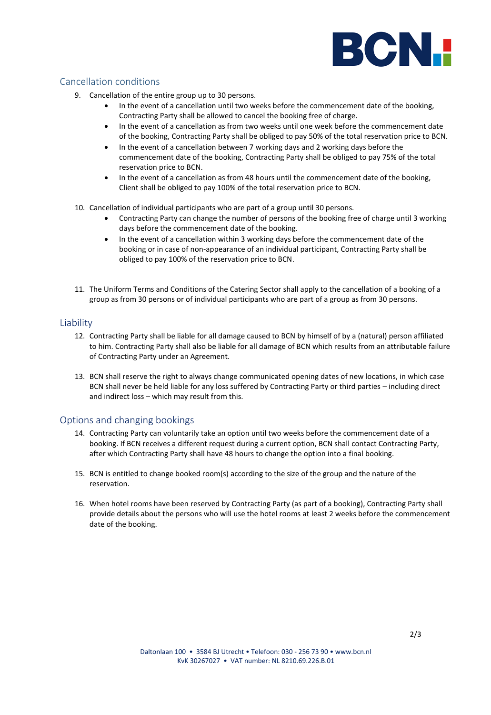

## Cancellation conditions

- 9. Cancellation of the entire group up to 30 persons.
	- In the event of a cancellation until two weeks before the commencement date of the booking, Contracting Party shall be allowed to cancel the booking free of charge.
	- In the event of a cancellation as from two weeks until one week before the commencement date of the booking, Contracting Party shall be obliged to pay 50% of the total reservation price to BCN.
	- In the event of a cancellation between 7 working days and 2 working days before the commencement date of the booking, Contracting Party shall be obliged to pay 75% of the total reservation price to BCN.
	- In the event of a cancellation as from 48 hours until the commencement date of the booking, Client shall be obliged to pay 100% of the total reservation price to BCN.
- 10. Cancellation of individual participants who are part of a group until 30 persons.
	- Contracting Party can change the number of persons of the booking free of charge until 3 working days before the commencement date of the booking.
	- In the event of a cancellation within 3 working days before the commencement date of the booking or in case of non-appearance of an individual participant, Contracting Party shall be obliged to pay 100% of the reservation price to BCN.
- 11. The Uniform Terms and Conditions of the Catering Sector shall apply to the cancellation of a booking of a group as from 30 persons or of individual participants who are part of a group as from 30 persons.

### Liability

- 12. Contracting Party shall be liable for all damage caused to BCN by himself of by a (natural) person affiliated to him. Contracting Party shall also be liable for all damage of BCN which results from an attributable failure of Contracting Party under an Agreement.
- 13. BCN shall reserve the right to always change communicated opening dates of new locations, in which case BCN shall never be held liable for any loss suffered by Contracting Party or third parties – including direct and indirect loss – which may result from this.

### Options and changing bookings

- 14. Contracting Party can voluntarily take an option until two weeks before the commencement date of a booking. If BCN receives a different request during a current option, BCN shall contact Contracting Party, after which Contracting Party shall have 48 hours to change the option into a final booking.
- 15. BCN is entitled to change booked room(s) according to the size of the group and the nature of the reservation.
- 16. When hotel rooms have been reserved by Contracting Party (as part of a booking), Contracting Party shall provide details about the persons who will use the hotel rooms at least 2 weeks before the commencement date of the booking.